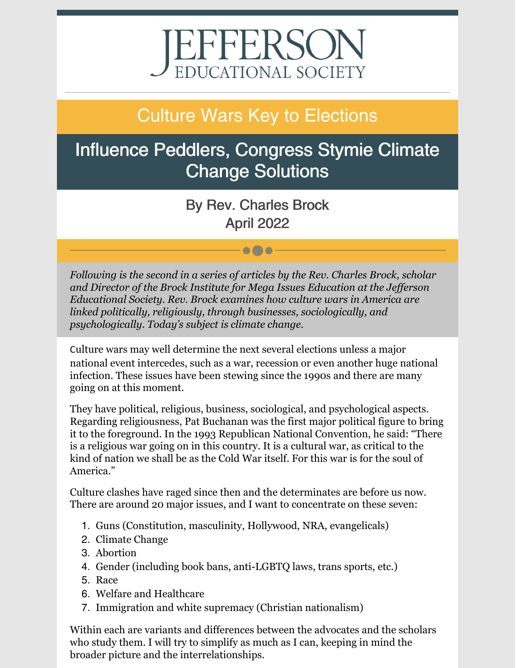# EFFERSON

# Culture Wars Key to Elections

# Influence Peddlers, Congress Stymie Climate Change Solutions

By Rev. Charles Brock April 2022

 $\bullet\bullet\bullet$ 

*Following is the second in a series of articles by the Rev. Charles Brock, scholar and Director of the Brock Institute for Mega Issues Education at the Jef erson Educational Society. Rev. Brock examines how culture wars in America are linked politically, religiously, through businesses, sociologically, and psychologically. Today's subject is climate change.*

Culture wars may well determine the next several elections unless a major national event intercedes, such as a war, recession or even another huge national infection. These issues have been stewing since the 1990s and there are many going on at this moment.

They have political, religious, business, sociological, and psychological aspects. Regarding religiousness, Pat Buchanan was the first major political figure to bring it to the foreground. In the 1993 Republican National Convention, he said: "There is a religious war going on in this country. It is a cultural war, as critical to the kind of nation we shall be as the Cold War itself. For this war is for the soul of America."

Culture clashes have raged since then and the determinates are before us now. There are around 20 major issues, and I want to concentrate on these seven:

- 1. Guns (Constitution, masculinity, Hollywood, NRA, evangelicals)
- 2. Climate Change
- 3. Abortion
- 4. Gender (including book bans, anti-LGBTQ laws, trans sports, etc.)
- 5. Race
- 6. Welfare and Healthcare
- 7. Immigration and white supremacy (Christian nationalism)

Within each are variants and differences between the advocates and the scholars who study them. I will try to simplify as much as I can, keeping in mind the broader picture and the interrelationships.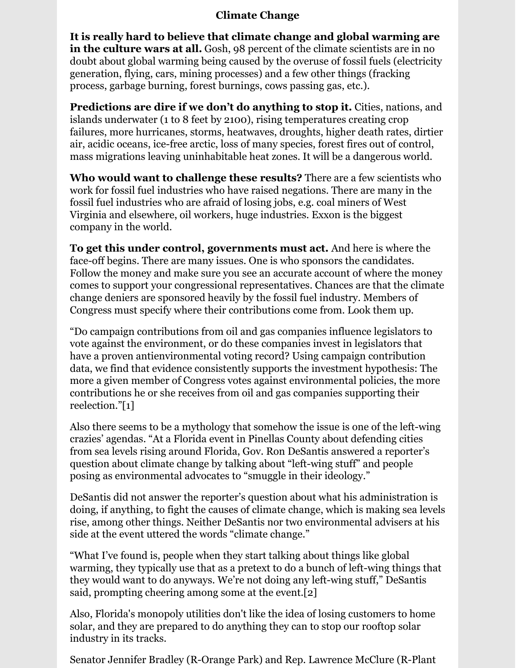#### **Climate Change**

**It is really hard to believe that climate change and global warming are in the culture wars at all.** Gosh, 98 percent of the climate scientists are in no doubt about global warming being caused by the overuse of fossil fuels (electricity generation, flying, cars, mining processes) and a few other things (fracking process, garbage burning, forest burnings, cows passing gas, etc.).

**Predictions are dire if we don't do anything to stop it.** Cities, nations, and islands underwater (1 to 8 feet by 2100), rising temperatures creating crop failures, more hurricanes, storms, heatwaves, droughts, higher death rates, dirtier air, acidic oceans, ice-free arctic, loss of many species, forest fires out of control, mass migrations leaving uninhabitable heat zones. It will be a dangerous world.

**Who would want to challenge these results?** There are a few scientists who work for fossil fuel industries who have raised negations. There are many in the fossil fuel industries who are afraid of losing jobs, e.g. coal miners of West Virginia and elsewhere, oil workers, huge industries. Exxon is the biggest company in the world.

**To get this under control, governments must act.** And here is where the face-off begins. There are many issues. One is who sponsors the candidates. Follow the money and make sure you see an accurate account of where the money comes to support your congressional representatives. Chances are that the climate change deniers are sponsored heavily by the fossil fuel industry. Members of Congress must specify where their contributions come from. Look them up.

"Do campaign contributions from oil and gas companies influence legislators to vote against the environment, or do these companies invest in legislators that have a proven antienvironmental voting record? Using campaign contribution data, we find that evidence consistently supports the investment hypothesis: The more a given member of Congress votes against environmental policies, the more contributions he or she receives from oil and gas companies supporting their reelection."[1]

Also there seems to be a mythology that somehow the issue is one of the left-wing crazies' agendas. "At a Florida event in Pinellas County about defending cities from sea levels rising around Florida, Gov. Ron DeSantis answered a reporter's question about climate change by talking about "left-wing stuff" and people posing as environmental advocates to "smuggle in their ideology."

DeSantis did not answer the reporter's question about what his administration is doing, if anything, to fight the causes of climate change, which is making sea levels rise, among other things. Neither DeSantis nor two environmental advisers at his side at the event uttered the words "climate change."

"What I've found is, people when they start talking about things like global warming, they typically use that as a pretext to do a bunch of left-wing things that they would want to do anyways. We're not doing any left-wing stuff," DeSantis said, prompting cheering among some at the event.[2]

Also, Florida's monopoly utilities don't like the idea of losing customers to home solar, and they are prepared to do anything they can to stop our rooftop solar industry in its tracks.

Senator Jennifer Bradley (R-Orange Park) and Rep. Lawrence McClure (R-Plant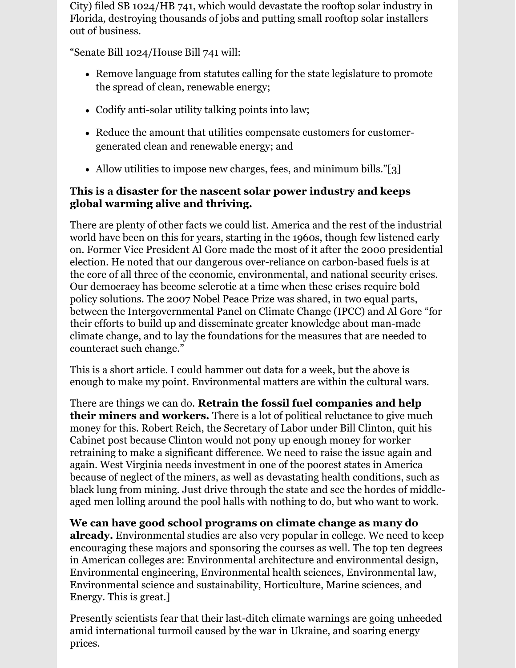City) filed SB 1024/HB 741, which would devastate the rooftop solar industry in Florida, destroying thousands of jobs and putting small rooftop solar installers out of business.

"Senate Bill 1024/House Bill 741 will:

- Remove language from statutes calling for the state legislature to promote the spread of clean, renewable energy;
- Codify anti-solar utility talking points into law;
- Reduce the amount that utilities compensate customers for customergenerated clean and renewable energy; and
- Allow utilities to impose new charges, fees, and minimum bills."[3]

## **This is a disaster for the nascent solar power industry and keeps global warming alive and thriving.**

There are plenty of other facts we could list. America and the rest of the industrial world have been on this for years, starting in the 1960s, though few listened early on. Former Vice President Al Gore made the most of it after the 2000 presidential election. He noted that our dangerous over-reliance on carbon-based fuels is at the core of all three of the economic, environmental, and national security crises. Our democracy has become sclerotic at a time when these crises require bold policy solutions. The 2007 Nobel Peace Prize was shared, in two equal parts, between the Intergovernmental Panel on Climate Change (IPCC) and Al Gore "for their efforts to build up and disseminate greater knowledge about man-made climate change, and to lay the foundations for the measures that are needed to counteract such change."

This is a short article. I could hammer out data for a week, but the above is enough to make my point. Environmental matters are within the cultural wars.

There are things we can do. **Retrain the fossil fuel companies and help their miners and workers.** There is a lot of political reluctance to give much money for this. Robert Reich, the Secretary of Labor under Bill Clinton, quit his Cabinet post because Clinton would not pony up enough money for worker retraining to make a significant difference. We need to raise the issue again and again. West Virginia needs investment in one of the poorest states in America because of neglect of the miners, as well as devastating health conditions, such as black lung from mining. Just drive through the state and see the hordes of middleaged men lolling around the pool halls with nothing to do, but who want to work.

**We can have good school programs on climate change as many do already.** Environmental studies are also very popular in college. We need to keep encouraging these majors and sponsoring the courses as well. The top ten degrees in American colleges are: Environmental architecture and environmental design, Environmental engineering, Environmental health sciences, Environmental law, Environmental science and sustainability, Horticulture, Marine sciences, and Energy. This is great.]

Presently scientists fear that their last-ditch climate warnings are going unheeded amid international turmoil caused by the war in Ukraine, and soaring energy prices.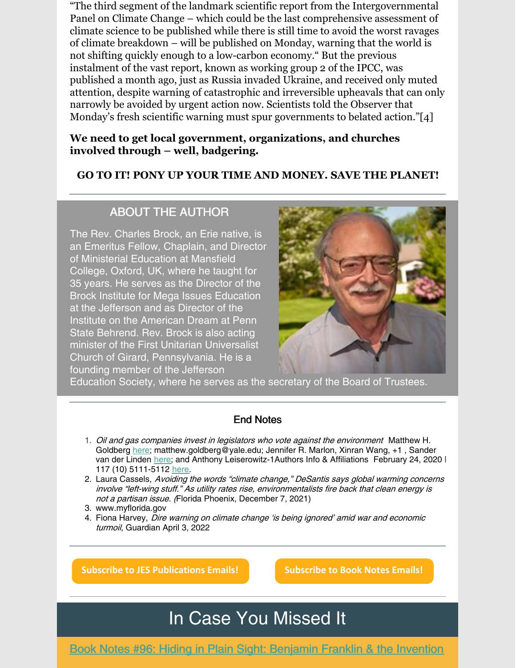"The third segment of the landmark scientific report from the Intergovernmental Panel on Climate Change – which could be the last comprehensive assessment of climate science to be published while there is still time to avoid the worst ravages of climate breakdown – will be published on Monday, warning that the world is not shifting quickly enough to a low-carbon economy." But the previous instalment of the vast report, known as working group 2 of the IPCC, was published a month ago, just as Russia invaded Ukraine, and received only muted attention, despite warning of catastrophic and irreversible upheavals that can only narrowly be avoided by urgent action now. Scientists told the Observer that Monday's fresh scientific warning must spur governments to belated action."[4]

#### **We need to get local government, organizations, and churches involved through – well, badgering.**

## **GO TO IT! PONY UP YOUR TIME AND MONEY. SAVE THE PLANET!**

## ABOUT THE AUTHOR

The Rev. Charles Brock, an Erie native, is an Emeritus Fellow, Chaplain, and Director of Ministerial Education at Mansfield College, Oxford, UK, where he taught for 35 years. He serves as the Director of the Brock Institute for Mega Issues Education at the Jefferson and as Director of the Institute on the American Dream at Penn State Behrend. Rev. Brock is also acting minister of the First Unitarian Universalist Church of Girard, Pennsylvania. He is a founding member of the Jefferson



Education Society, where he serves as the secretary of the Board of Trustees.

#### End Notes

- 1. Oil and gas companies invest in legislators who vote against the environment Matthew H. Goldberg [here](https://orcid.org/0000-0003-1267-7839); matthew.goldberg@yale.edu; Jennifer R. Marlon, Xinran Wang, +1, Sander van der Linden [here](https://orcid.org/0000-0002-0269-1744); and Anthony Leiserowitz-1Authors Info & Affiliations February 24, 2020 | 117 (10) 5111-5112 [here](https://doi.org/10.1073/pnas.1922175117).
- 2. Laura Cassels, Avoiding the words "climate change," DeSantis says global warming concerns involve "left-wing stuff." As utility rates rise, environmentalists fire back that clean energy is not <sup>a</sup> partisan issue. (Florida Phoenix, December 7, 2021)
- 3. www.myflorida.gov
- 4. Fiona Harvey, Dire warning on climate change 'is being ignored' amid war and economic turmoil, Guardian April 3, 2022

**Subscribe to JES [Publications](https://lp.constantcontactpages.com/su/OYSOPRt/PublicationsSubscription?source_id=f309202d-466b-42ef-b394-018a9442093d&source_type=em&c=) Emails! [Subscribe](https://lp.constantcontactpages.com/su/TXbaxH2/BookNotesSubscription?source_id=f309202d-466b-42ef-b394-018a9442093d&source_type=em&c=) to Book Notes Emails!**

## In Case You Missed It

Book Notes #96: Hiding in Plain Sight: [Benjamin](https://conta.cc/3rw2TfN) Franklin & the Invention